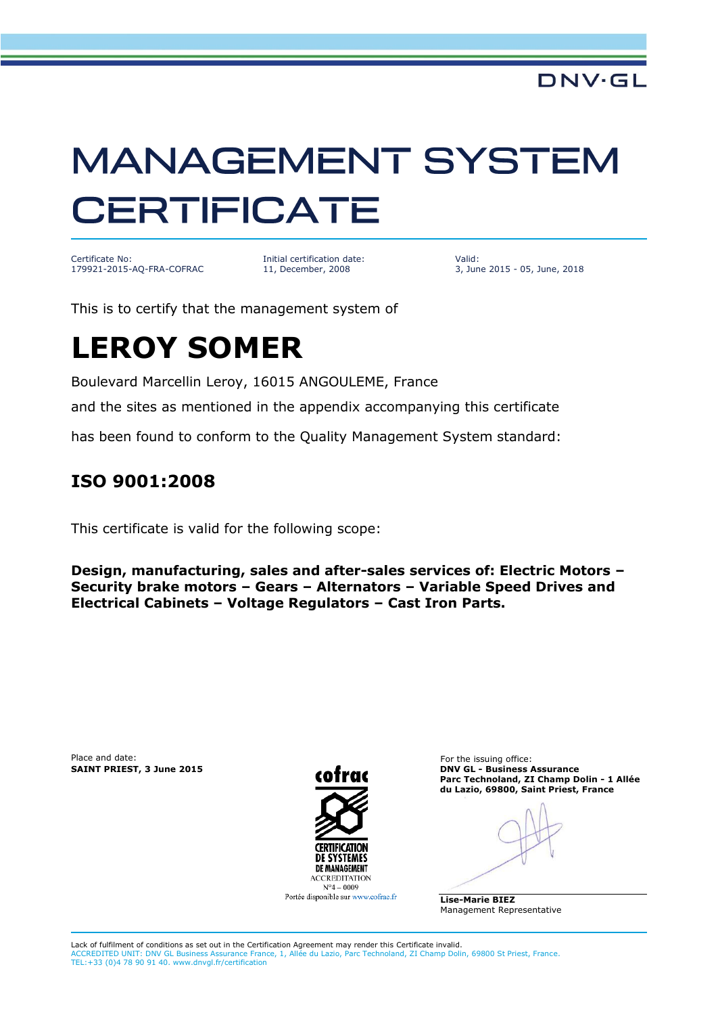# **MANAGEMENT SYSTEM CERTIFICATE**

Certificate No: 179921-2015-AQ-FRA-COFRAC Initial certification date: 11, December, 2008

Valid: 3, June 2015 - 05, June, 2018

This is to certify that the management system of

## **LEROY SOMER**

Boulevard Marcellin Leroy, 16015 ANGOULEME, France

and the sites as mentioned in the appendix accompanying this certificate

has been found to conform to the Quality Management System standard:

#### **ISO 9001:2008**

This certificate is valid for the following scope:

**Design, manufacturing, sales and after-sales services of: Electric Motors – Security brake motors – Gears – Alternators – Variable Speed Drives and Electrical Cabinets – Voltage Regulators – Cast Iron Parts.**

Place and date: For the issuing office:



Portée disponible sur www.cofrac.fr

**SAINT PRIEST, 3 June 2015 DNV GL - Business Assurance Parc Technoland, ZI Champ Dolin - 1 Allée du Lazio, 69800, Saint Priest, France**

**Lise-Marie BIEZ** Management Representative

Lack of fulfilment of conditions as set out in the Certification Agreement may render this Certificate invalid. surance France, 1, Allée du Lazio, Parc Technoland, ZI Champ Dolin, 69800 St Priest, France. ACCREDITED UNIT: DNV GL Business Assurance France TEL: +33 (0)4 78 90 91 40. www.dnvgl.fr/certification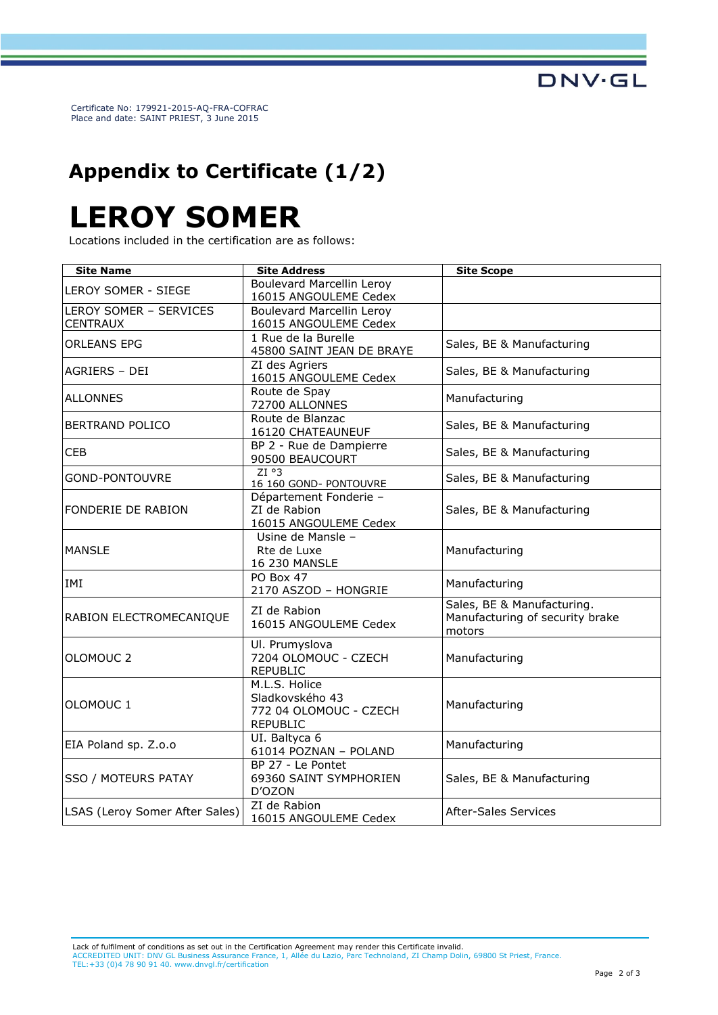**DNV·GL** 

Certificate No: 179921-2015-AQ-FRA-COFRAC Place and date: SAINT PRIEST, 3 June 2015

### **Appendix to Certificate (1/2)**

## **LEROY SOMER**

Locations included in the certification are as follows:

| <b>Site Name</b>                          | <b>Site Address</b>                                                           | <b>Site Scope</b>                                                       |
|-------------------------------------------|-------------------------------------------------------------------------------|-------------------------------------------------------------------------|
| LEROY SOMER - SIEGE                       | <b>Boulevard Marcellin Leroy</b><br>16015 ANGOULEME Cedex                     |                                                                         |
| LEROY SOMER - SERVICES<br><b>CENTRAUX</b> | <b>Boulevard Marcellin Leroy</b><br>16015 ANGOULEME Cedex                     |                                                                         |
| <b>ORLEANS EPG</b>                        | 1 Rue de la Burelle<br>45800 SAINT JEAN DE BRAYE                              | Sales, BE & Manufacturing                                               |
| AGRIERS - DEI                             | ZI des Agriers<br>16015 ANGOULEME Cedex                                       | Sales, BE & Manufacturing                                               |
| <b>ALLONNES</b>                           | Route de Spay<br>72700 ALLONNES                                               | Manufacturing                                                           |
| <b>BERTRAND POLICO</b>                    | Route de Blanzac<br>16120 CHATEAUNEUF                                         | Sales, BE & Manufacturing                                               |
| <b>CEB</b>                                | BP 2 - Rue de Dampierre<br>90500 BEAUCOURT                                    | Sales, BE & Manufacturing                                               |
| GOND-PONTOUVRE                            | ZI <sup>o</sup> 3<br>16 160 GOND- PONTOUVRE                                   | Sales, BE & Manufacturing                                               |
| <b>FONDERIE DE RABION</b>                 | Département Fonderie -<br>ZI de Rabion<br>16015 ANGOULEME Cedex               | Sales, BE & Manufacturing                                               |
| <b>MANSLE</b>                             | Usine de Mansle -<br>Rte de Luxe<br>16 230 MANSLE                             | Manufacturing                                                           |
| IMI                                       | PO Box 47<br>2170 ASZOD - HONGRIE                                             | Manufacturing                                                           |
| RABION ELECTROMECANIQUE                   | ZI de Rabion<br>16015 ANGOULEME Cedex                                         | Sales, BE & Manufacturing.<br>Manufacturing of security brake<br>motors |
| OLOMOUC <sub>2</sub>                      | Ul. Prumyslova<br>7204 OLOMOUC - CZECH<br><b>REPUBLIC</b>                     | Manufacturing                                                           |
| OLOMOUC 1                                 | M.L.S. Holice<br>Sladkovského 43<br>772 04 OLOMOUC - CZECH<br><b>REPUBLIC</b> | Manufacturing                                                           |
| EIA Poland sp. Z.o.o                      | UI. Baltyca 6<br>61014 POZNAN - POLAND                                        | Manufacturing                                                           |
| SSO / MOTEURS PATAY                       | BP 27 - Le Pontet<br>69360 SAINT SYMPHORIEN<br>D'OZON                         | Sales, BE & Manufacturing                                               |
| LSAS (Leroy Somer After Sales)            | ZI de Rabion<br>16015 ANGOULEME Cedex                                         | <b>After-Sales Services</b>                                             |